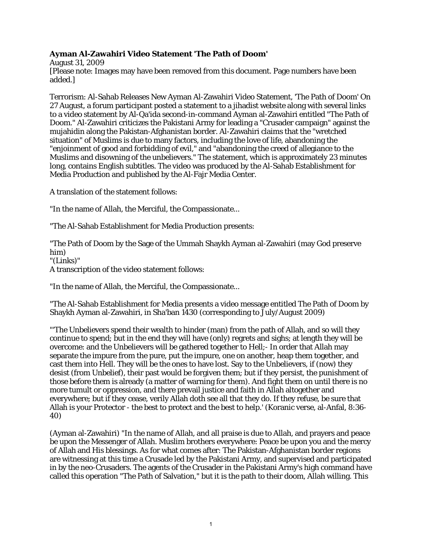## **Ayman Al-Zawahiri Video Statement 'The Path of Doom'**

August 31, 2009 [Please note: Images may have been removed from this document. Page numbers have been added.]

Terrorism: Al-Sahab Releases New Ayman Al-Zawahiri Video Statement, 'The Path of Doom' On 27 August, a forum participant posted a statement to a jihadist website along with several links to a video statement by Al-Qa'ida second-in-command Ayman al-Zawahiri entitled "The Path of Doom." Al-Zawahiri criticizes the Pakistani Army for leading a "Crusader campaign" against the mujahidin along the Pakistan-Afghanistan border. Al-Zawahiri claims that the "wretched situation" of Muslims is due to many factors, including the love of life, abandoning the "enjoinment of good and forbidding of evil," and "abandoning the creed of allegiance to the Muslims and disowning of the unbelievers." The statement, which is approximately 23 minutes long, contains English subtitles. The video was produced by the Al-Sahab Establishment for Media Production and published by the Al-Fajr Media Center.

A translation of the statement follows:

"In the name of Allah, the Merciful, the Compassionate...

"The Al-Sahab Establishment for Media Production presents:

"The Path of Doom by the Sage of the Ummah Shaykh Ayman al-Zawahiri (may God preserve him)

"(Links)"

A transcription of the video statement follows:

"In the name of Allah, the Merciful, the Compassionate...

"The Al-Sahab Establishment for Media presents a video message entitled The Path of Doom by Shaykh Ayman al-Zawahiri, in Sha'ban 1430 (corresponding to July/August 2009)

"'The Unbelievers spend their wealth to hinder (man) from the path of Allah, and so will they continue to spend; but in the end they will have (only) regrets and sighs; at length they will be overcome: and the Unbelievers will be gathered together to Hell;- In order that Allah may separate the impure from the pure, put the impure, one on another, heap them together, and cast them into Hell. They will be the ones to have lost. Say to the Unbelievers, if (now) they desist (from Unbelief), their past would be forgiven them; but if they persist, the punishment of those before them is already (a matter of warning for them). And fight them on until there is no more tumult or oppression, and there prevail justice and faith in Allah altogether and everywhere; but if they cease, verily Allah doth see all that they do. If they refuse, be sure that Allah is your Protector - the best to protect and the best to help.' (Koranic verse, al-Anfal, 8:36- 40)

(Ayman al-Zawahiri) "In the name of Allah, and all praise is due to Allah, and prayers and peace be upon the Messenger of Allah. Muslim brothers everywhere: Peace be upon you and the mercy of Allah and His blessings. As for what comes after: The Pakistan-Afghanistan border regions are witnessing at this time a Crusade led by the Pakistani Army, and supervised and participated in by the neo-Crusaders. The agents of the Crusader in the Pakistani Army's high command have called this operation "The Path of Salvation," but it is the path to their doom, Allah willing. This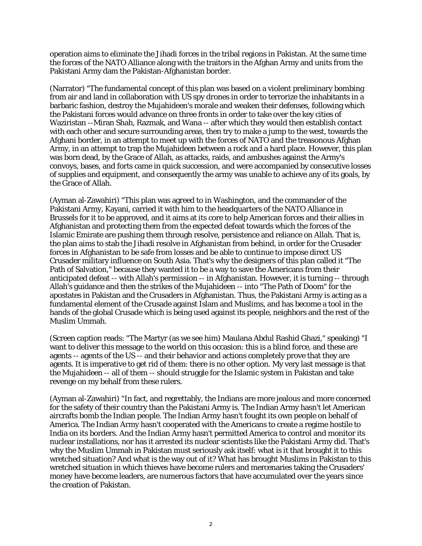operation aims to eliminate the Jihadi forces in the tribal regions in Pakistan. At the same time the forces of the NATO Alliance along with the traitors in the Afghan Army and units from the Pakistani Army dam the Pakistan-Afghanistan border.

(Narrator) "The fundamental concept of this plan was based on a violent preliminary bombing from air and land in collaboration with US spy drones in order to terrorize the inhabitants in a barbaric fashion, destroy the Mujahideen's morale and weaken their defenses, following which the Pakistani forces would advance on three fronts in order to take over the key cities of Waziristan --Miran Shah, Razmak, and Wana -- after which they would then establish contact with each other and secure surrounding areas, then try to make a jump to the west, towards the Afghani border, in an attempt to meet up with the forces of NATO and the treasonous Afghan Army, in an attempt to trap the Mujahideen between a rock and a hard place. However, this plan was born dead, by the Grace of Allah, as attacks, raids, and ambushes against the Army's convoys, bases, and forts came in quick succession, and were accompanied by consecutive losses of supplies and equipment, and consequently the army was unable to achieve any of its goals, by the Grace of Allah.

(Ayman al-Zawahiri) "This plan was agreed to in Washington, and the commander of the Pakistani Army, Kayani, carried it with him to the headquarters of the NATO Alliance in Brussels for it to be approved, and it aims at its core to help American forces and their allies in Afghanistan and protecting them from the expected defeat towards which the forces of the Islamic Emirate are pushing them through resolve, persistence and reliance on Allah. That is, the plan aims to stab the Jihadi resolve in Afghanistan from behind, in order for the Crusader forces in Afghanistan to be safe from losses and be able to continue to impose direct US Crusader military influence on South Asia. That's why the designers of this plan called it "The Path of Salvation," because they wanted it to be a way to save the Americans from their anticipated defeat -- with Allah's permission -- in Afghanistan. However, it is turning -- through Allah's guidance and then the strikes of the Mujahideen -- into "The Path of Doom" for the apostates in Pakistan and the Crusaders in Afghanistan. Thus, the Pakistani Army is acting as a fundamental element of the Crusade against Islam and Muslims, and has become a tool in the hands of the global Crusade which is being used against its people, neighbors and the rest of the Muslim Ummah.

(Screen caption reads: "The Martyr (as we see him) Maulana Abdul Rashid Ghazi," speaking) "I want to deliver this message to the world on this occasion: this is a blind force, and these are agents -- agents of the US -- and their behavior and actions completely prove that they are agents. It is imperative to get rid of them: there is no other option. My very last message is that the Mujahideen -- all of them -- should struggle for the Islamic system in Pakistan and take revenge on my behalf from these rulers.

(Ayman al-Zawahiri) "In fact, and regrettably, the Indians are more jealous and more concerned for the safety of their country than the Pakistani Army is. The Indian Army hasn't let American aircrafts bomb the Indian people. The Indian Army hasn't fought its own people on behalf of America. The Indian Army hasn't cooperated with the Americans to create a regime hostile to India on its borders. And the Indian Army hasn't permitted America to control and monitor its nuclear installations, nor has it arrested its nuclear scientists like the Pakistani Army did. That's why the Muslim Ummah in Pakistan must seriously ask itself: what is it that brought it to this wretched situation? And what is the way out of it? What has brought Muslims in Pakistan to this wretched situation in which thieves have become rulers and mercenaries taking the Crusaders' money have become leaders, are numerous factors that have accumulated over the years since the creation of Pakistan.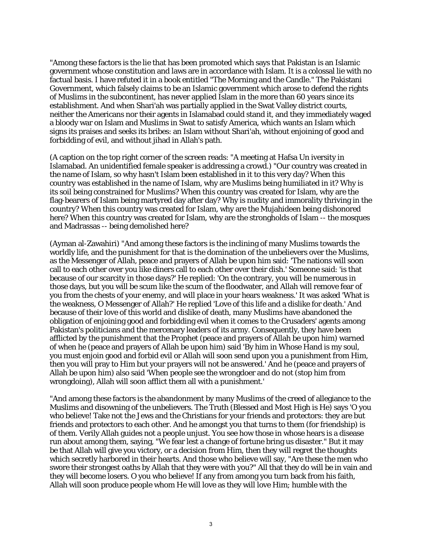"Among these factors is the lie that has been promoted which says that Pakistan is an Islamic government whose constitution and laws are in accordance with Islam. It is a colossal lie with no factual basis. I have refuted it in a book entitled "The Morning and the Candle." The Pakistani Government, which falsely claims to be an Islamic government which arose to defend the rights of Muslims in the subcontinent, has never applied Islam in the more than 60 years since its establishment. And when Shari'ah was partially applied in the Swat Valley district courts, neither the Americans nor their agents in Islamabad could stand it, and they immediately waged a bloody war on Islam and Muslims in Swat to satisfy America, which wants an Islam which signs its praises and seeks its bribes: an Islam without Shari'ah, without enjoining of good and forbidding of evil, and without jihad in Allah's path.

(A caption on the top right corner of the screen reads: "A meeting at Hafsa Un iversity in Islamabad. An unidentified female speaker is addressing a crowd.) "Our country was created in the name of Islam, so why hasn't Islam been established in it to this very day? When this country was established in the name of Islam, why are Muslims being humiliated in it? Why is its soil being constrained for Muslims? When this country was created for Islam, why are the flag-bearers of Islam being martyred day after day? Why is nudity and immorality thriving in the country? When this country was created for Islam, why are the Mujahideen being dishonored here? When this country was created for Islam, why are the strongholds of Islam -- the mosques and Madrassas -- being demolished here?

(Ayman al-Zawahiri) "And among these factors is the inclining of many Muslims towards the worldly life, and the punishment for that is the domination of the unbelievers over the Muslims, as the Messenger of Allah, peace and prayers of Allah be upon him said: 'The nations will soon call to each other over you like diners call to each other over their dish.' Someone said: 'is that because of our scarcity in those days?' He replied: 'On the contrary, you will be numerous in those days, but you will be scum like the scum of the floodwater, and Allah will remove fear of you from the chests of your enemy, and will place in your hears weakness.' It was asked 'What is the weakness, O Messenger of Allah?' He replied 'Love of this life and a dislike for death.' And because of their love of this world and dislike of death, many Muslims have abandoned the obligation of enjoining good and forbidding evil when it comes to the Crusaders' agents among Pakistan's politicians and the mercenary leaders of its army. Consequently, they have been afflicted by the punishment that the Prophet (peace and prayers of Allah be upon him) warned of when he (peace and prayers of Allah be upon him) said 'By him in Whose Hand is my soul, you must enjoin good and forbid evil or Allah will soon send upon you a punishment from Him, then you will pray to Him but your prayers will not be answered.' And he (peace and prayers of Allah be upon him) also said 'When people see the wrongdoer and do not (stop him from wrongdoing), Allah will soon afflict them all with a punishment.'

"And among these factors is the abandonment by many Muslims of the creed of allegiance to the Muslims and disowning of the unbelievers. The Truth (Blessed and Most High is He) says 'O you who believe! Take not the Jews and the Christians for your friends and protectors: they are but friends and protectors to each other. And he amongst you that turns to them (for friendship) is of them. Verily Allah guides not a people unjust. You see how those in whose hears is a disease run about among them, saying, "We fear lest a change of fortune bring us disaster." But it may be that Allah will give you victory, or a decision from Him, then they will regret the thoughts which secretly harbored in their hearts. And those who believe will say, "Are these the men who swore their strongest oaths by Allah that they were with you?" All that they do will be in vain and they will become losers. O you who believe! If any from among you turn back from his faith, Allah will soon produce people whom He will love as they will love Him; humble with the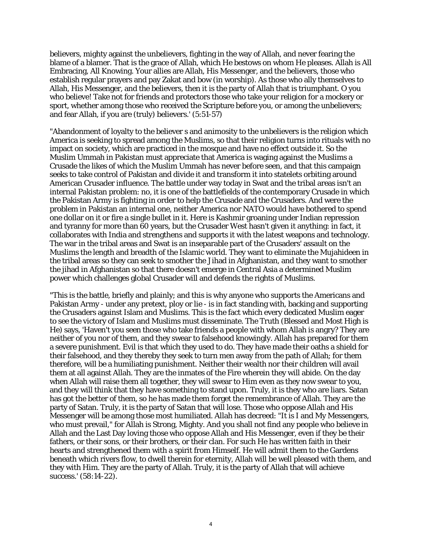believers, mighty against the unbelievers, fighting in the way of Allah, and never fearing the blame of a blamer. That is the grace of Allah, which He bestows on whom He pleases. Allah is All Embracing, All Knowing. Your allies are Allah, His Messenger, and the believers, those who establish regular prayers and pay Zakat and bow (in worship). As those who ally themselves to Allah, His Messenger, and the believers, then it is the party of Allah that is triumphant. O you who believe! Take not for friends and protectors those who take your religion for a mockery or sport, whether among those who received the Scripture before you, or among the unbelievers; and fear Allah, if you are (truly) believers.' (5:51-57)

"Abandonment of loyalty to the believer s and animosity to the unbelievers is the religion which America is seeking to spread among the Muslims, so that their religion turns into rituals with no impact on society, which are practiced in the mosque and have no effect outside it. So the Muslim Ummah in Pakistan must appreciate that America is waging against the Muslims a Crusade the likes of which the Muslim Ummah has never before seen, and that this campaign seeks to take control of Pakistan and divide it and transform it into statelets orbiting around American Crusader influence. The battle under way today in Swat and the tribal areas isn't an internal Pakistan problem: no, it is one of the battlefields of the contemporary Crusade in which the Pakistan Army is fighting in order to help the Crusade and the Crusaders. And were the problem in Pakistan an internal one, neither America nor NATO would have bothered to spend one dollar on it or fire a single bullet in it. Here is Kashmir groaning under Indian repression and tyranny for more than 60 years, but the Crusader West hasn't given it anything: in fact, it collaborates with India and strengthens and supports it with the latest weapons and technology. The war in the tribal areas and Swat is an inseparable part of the Crusaders' assault on the Muslims the length and breadth of the Islamic world. They want to eliminate the Mujahideen in the tribal areas so they can seek to smother the Jihad in Afghanistan, and they want to smother the jihad in Afghanistan so that there doesn't emerge in Central Asia a determined Muslim power which challenges global Crusader will and defends the rights of Muslims.

"This is the battle, briefly and plainly; and this is why anyone who supports the Americans and Pakistan Army - under any pretext, ploy or lie - is in fact standing with, backing and supporting the Crusaders against Islam and Muslims. This is the fact which every dedicated Muslim eager to see the victory of Islam and Muslims must disseminate. The Truth (Blessed and Most High is He) says, 'Haven't you seen those who take friends a people with whom Allah is angry? They are neither of you nor of them, and they swear to falsehood knowingly. Allah has prepared for them a severe punishment. Evil is that which they used to do. They have made their oaths a shield for their falsehood, and they thereby they seek to turn men away from the path of Allah; for them therefore, will be a humiliating punishment. Neither their wealth nor their children will avail them at all against Allah. They are the inmates of the Fire wherein they will abide. On the day when Allah will raise them all together, they will swear to Him even as they now swear to you, and they will think that they have something to stand upon. Truly, it is they who are liars. Satan has got the better of them, so he has made them forget the remembrance of Allah. They are the party of Satan. Truly, it is the party of Satan that will lose. Those who oppose Allah and His Messenger will be among those most humiliated. Allah has decreed: "It is I and My Messengers, who must prevail," for Allah is Strong, Mighty. And you shall not find any people who believe in Allah and the Last Day loving those who oppose Allah and His Messenger, even if they be their fathers, or their sons, or their brothers, or their clan. For such He has written faith in their hearts and strengthened them with a spirit from Himself. He will admit them to the Gardens beneath which rivers flow, to dwell therein for eternity, Allah will be well pleased with them, and they with Him. They are the party of Allah. Truly, it is the party of Allah that will achieve success.' (58:14-22).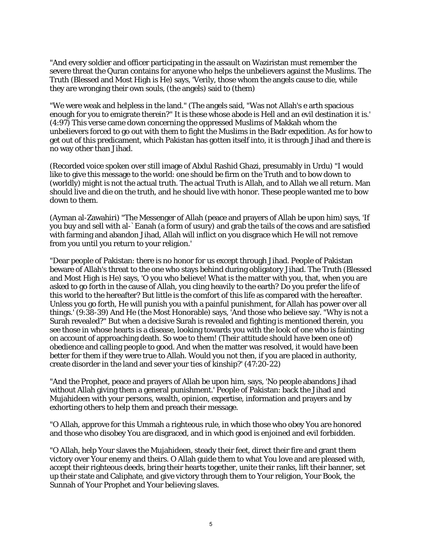"And every soldier and officer participating in the assault on Waziristan must remember the severe threat the Quran contains for anyone who helps the unbelievers against the Muslims. The Truth (Blessed and Most High is He) says, 'Verily, those whom the angels cause to die, while they are wronging their own souls, (the angels) said to (them)

"We were weak and helpless in the land." (The angels said, "Was not Allah's e arth spacious enough for you to emigrate therein?" It is these whose abode is Hell and an evil destination it is.' (4:97) This verse came down concerning the oppressed Muslims of Makkah whom the unbelievers forced to go out with them to fight the Muslims in the Badr expedition. As for how to get out of this predicament, which Pakistan has gotten itself into, it is through Jihad and there is no way other than Jihad.

(Recorded voice spoken over still image of Abdul Rashid Ghazi, presumably in Urdu) "I would like to give this message to the world: one should be firm on the Truth and to bow down to (worldly) might is not the actual truth. The actual Truth is Allah, and to Allah we all return. Man should live and die on the truth, and he should live with honor. These people wanted me to bow down to them.

(Ayman al-Zawahiri) "The Messenger of Allah (peace and prayers of Allah be upon him) says, 'If you buy and sell with al-`Eanah (a form of usury) and grab the tails of the cows and are satisfied with farming and abandon Jihad, Allah will inflict on you disgrace which He will not remove from you until you return to your religion.'

"Dear people of Pakistan: there is no honor for us except through Jihad. People of Pakistan beware of Allah's threat to the one who stays behind during obligatory Jihad. The Truth (Blessed and Most High is He) says, 'O you who believe! What is the matter with you, that, when you are asked to go forth in the cause of Allah, you cling heavily to the earth? Do you prefer the life of this world to the hereafter? But little is the comfort of this life as compared with the hereafter. Unless you go forth, He will punish you with a painful punishment, for Allah has power over all things.' (9:38-39) And He (the Most Honorable) says, 'And those who believe say. "Why is not a Surah revealed?" But when a decisive Surah is revealed and fighting is mentioned therein, you see those in whose hearts is a disease, looking towards you with the look of one who is fainting on account of approaching death. So woe to them! (Their attitude should have been one of) obedience and calling people to good. And when the matter was resolved, it would have been better for them if they were true to Allah. Would you not then, if you are placed in authority, create disorder in the land and sever your ties of kinship?' (47:20-22)

"And the Prophet, peace and prayers of Allah be upon him, says, 'No people abandons Jihad without Allah giving them a general punishment.' People of Pakistan: back the Jihad and Mujahideen with your persons, wealth, opinion, expertise, information and prayers and by exhorting others to help them and preach their message.

"O Allah, approve for this Ummah a righteous rule, in which those who obey You are honored and those who disobey You are disgraced, and in which good is enjoined and evil forbidden.

"O Allah, help Your slaves the Mujahideen, steady their feet, direct their fire and grant them victory over Your enemy and theirs. O Allah guide them to what You love and are pleased with, accept their righteous deeds, bring their hearts together, unite their ranks, lift their banner, set up their state and Caliphate, and give victory through them to Your religion, Your Book, the Sunnah of Your Prophet and Your believing slaves.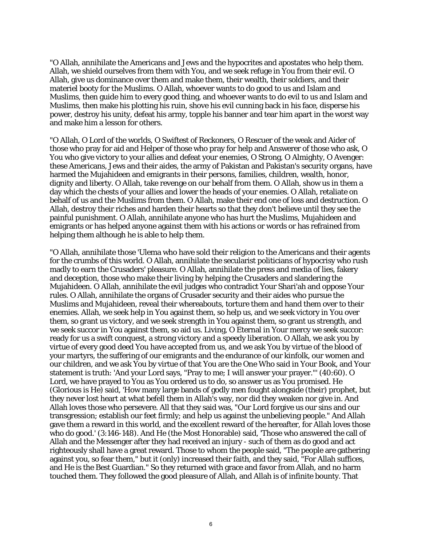"O Allah, annihilate the Americans and Jews and the hypocrites and apostates who help them. Allah, we shield ourselves from them with You, and we seek refuge in You from their evil. O Allah, give us dominance over them and make them, their wealth, their soldiers, and their materiel booty for the Muslims. O Allah, whoever wants to do good to us and Islam and Muslims, then guide him to every good thing, and whoever wants to do evil to us and Islam and Muslims, then make his plotting his ruin, shove his evil cunning back in his face, disperse his power, destroy his unity, defeat his army, topple his banner and tear him apart in the worst way and make him a lesson for others.

"O Allah, O Lord of the worlds, O Swiftest of Reckoners, O Rescuer of the weak and Aider of those who pray for aid and Helper of those who pray for help and Answerer of those who ask, O You who give victory to your allies and defeat your enemies, O Strong, O Almighty, O Avenger: these Americans, Jews and their aides, the army of Pakistan and Pakistan's security organs, have harmed the Mujahideen and emigrants in their persons, families, children, wealth, honor, dignity and liberty. O Allah, take revenge on our behalf from them. O Allah, show us in them a day which the chests of your allies and lower the heads of your enemies. O Allah, retaliate on behalf of us and the Muslims from them. O Allah, make their end one of loss and destruction. O Allah, destroy their riches and harden their hearts so that they don't believe until they see the painful punishment. O Allah, annihilate anyone who has hurt the Muslims, Mujahideen and emigrants or has helped anyone against them with his actions or words or has refrained from helping them although he is able to help them.

"O Allah, annihilate those 'Ulema who have sold their religion to the Americans and their agents for the crumbs of this world. O Allah, annihilate the secularist politicians of hypocrisy who rush madly to earn the Crusaders' pleasure. O Allah, annihilate the press and media of lies, fakery and deception, those who make their living by helping the Crusaders and slandering the Mujahideen. O Allah, annihilate the evil judges who contradict Your Shari'ah and oppose Your rules. O Allah, annihilate the organs of Crusader security and their aides who pursue the Muslims and Mujahideen, reveal their whereabouts, torture them and hand them over to their enemies. Allah, we seek help in You against them, so help us, and we seek victory in You over them, so grant us victory, and we seek strength in You against them, so grant us strength, and we seek succor in You against them, so aid us. Living, O Eternal in Your mercy we seek succor: ready for us a swift conquest, a strong victory and a speedy liberation. O Allah, we ask you by virtue of every good deed You have accepted from us, and we ask You by virtue of the blood of your martyrs, the suffering of our emigrants and the endurance of our kinfolk, our women and our children, and we ask You by virtue of that You are the One Who said in Your Book, and Your statement is truth: 'And your Lord says, "Pray to me; I will answer your prayer."' (40:60). O Lord, we have prayed to You as You ordered us to do, so answer us as You promised. He (Glorious is He) said, 'How many large bands of godly men fought alongside (their) prophet, but they never lost heart at what befell them in Allah's way, nor did they weaken nor give in. And Allah loves those who persevere. All that they said was, "Our Lord forgive us our sins and our transgression; establish our feet firmly; and help us against the unbelieving people." And Allah gave them a reward in this world, and the excellent reward of the hereafter, for Allah loves those who do good.' (3:146-148). And He (the Most Honorable) said, 'Those who answered the call of Allah and the Messenger after they had received an injury - such of them as do good and act righteously shall have a great reward. Those to whom the people said, "The people are gathering against you, so fear them," but it (only) increased their faith, and they said, "For Allah suffices, and He is the Best Guardian." So they returned with grace and favor from Allah, and no harm touched them. They followed the good pleasure of Allah, and Allah is of infinite bounty. That